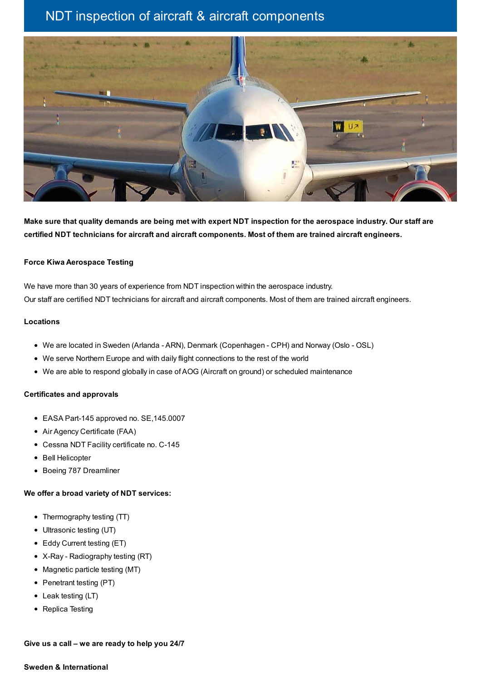# NDT inspection of aircraft & aircraft components



Make sure that quality demands are being met with expert NDT inspection for the aerospace industry. Our staff are **certified NDT technicians for aircraft and aircraft components. Most of them are trained aircraft engineers.**

### **Force Kiwa Aerospace Testing**

We have more than 30 years of experience from NDT inspection within the aerospace industry. Our staff are certified NDT technicians for aircraft and aircraft components. Most of them are trained aircraft engineers.

### **Locations**

- We are located in Sweden (Arlanda ARN), Denmark (Copenhagen CPH) and Norway (Oslo OSL)
- We serve Northern Europe and with daily flight connections to the rest of the world
- We are able to respond globally in case of AOG (Aircraft on ground) or scheduled maintenance

### **Certificates and approvals**

- EASA Part-145 approved no. SE,145.0007
- Air Agency Certificate (FAA)
- Cessna NDT Facility certificate no. C-145
- Bell Helicopter
- Boeing 787 Dreamliner

## **We offer a broad variety of NDT services:**

- Thermography testing (TT)
- Ultrasonic testing (UT)
- Eddy Current testing (ET)
- X-Ray Radiography testing (RT)
- Magnetic particle testing (MT)
- Penetrant testing (PT)
- Leak testing (LT)
- Replica Testing

**Give us a call – we are ready to help you 24/7**

#### **Sweden & International**